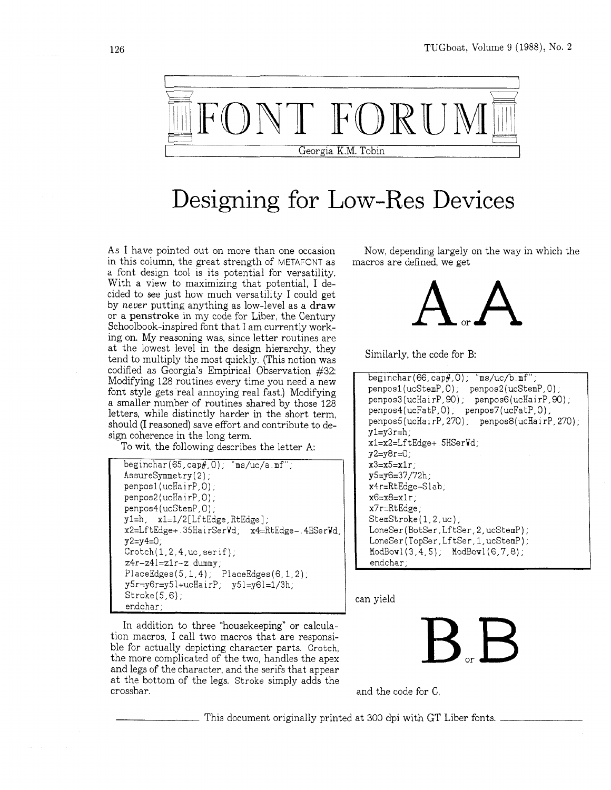

## Designing for Low-Res Devices

As I have pointed out on more than one occasion in this column, the great strength of METAFONT as a font design tool is its potential for versatility. With a view to maximizing that potential, I decided to see just how much versatility I could get by *never* putting anything as low-level as a **draw**  or a **penstroke** in my code for Liber, the Century Schoolbook-inspired font that I am currently working on. My reasoning was, since letter routines are at the lowest level in the design hierarchy, they tend to multiply the most quickly. (This notion was codified as Georgia's Empirical Observation #32: Modifying 128 routines every time you need a new font style gets real annoying real fast.) Modifying a smaller number of routines shared by those 128 letters, while distinctly harder in the short term, should (I reasoned) save effort and contribute to design coherence in the long term.

To wit, the following describes the letter A:

```
beginchar(65,cap#,O), "ms/uc/a mf", 
AssureSymmetry(2),
penpos1(ucHairP, 0);
penpos2(ucHairP, 0);
penpos4(ucStemP, 0) , 
y1=h, x1=1/2 [LftEdge, RtEdge];
x2=LftEdge+ 35HairSerWd, x4=RtEdge- 4HSerWd, 
y2=y4=0;
Cratch(1,2,4,uc,serif);z4r-z41=z1r-z dummy;
PlaceEdges(5,1,4); PlaceEdges(6,1,2);
y5r:y6r=y5l+ucHairP, y51=y61=1/3h, 
Stroke(5,6);
endchar,
```
In addition to three "housekeeping" or calculation macros, I call two macros that are responsible for actually depicting character parts. Crotch, the more complicated of the two, handles the apex and legs of the character, and the serifs that appear at the bottom of the legs. Stroke simply adds the crossbar.

Now, depending largely on the way in which the macros are defined, we get



Similarly, the code for B:

```
beginchar (66, cap#, 0) , "ms/uc/b mf", 
penposl (ucStemP, 0) , penpos2 (ucStemP, 0) , 
penpos3(ucHairP,90), penpos6(ucHairP,90), 
penpos4(ucFatP, 0); penpos7(ucFatP, 0);
penpos5(ucHairP, 270); penpos8(ucHairP, 270);
y1=y3r=h;
xl=x2=LftEdge+ SHSerWd, 
y2 = y8r = 0;
x3=x5=x1r;
y5=y6=37/72h, 
x4r=RtEdge-Slab, 
x6=x8=xlr, 
x7r=RtEdge, 
StemStroke(1,2,uc);
LoneSer (BotSer,LftSer, 2,ucStemP), 
LoneSer(TopSer,LftSer,1,ucStemP);
ModBou1(3,4,5), ModBov1(6,7,8), 
endchar,
```
can yield

and the code for C,

This document originally printed at 300 dpi with GT Liber fonts.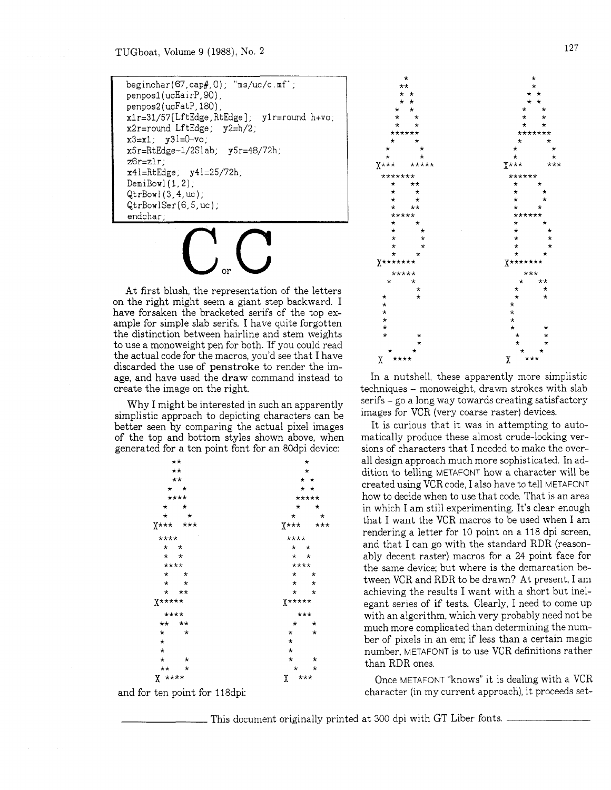$begin(coshar(67,cap#0))$ ; "ms/uc/c.mf"; penposl (ucHai rP, 90) ; penpos2(ucFatP, 180);  $x1r=31/57$ [LftEdge, RtEdge];  $y1r=$ round h+vo;  $x2r=$ round LftEdge;  $y2=h/2$ ;  $x3=x1; y31=0-v0;$  $x5r=RtEdge-1/2Slab; y5r=48/72h;$ z6r=zlr; x41=RtEdge, y41=25/72h, DemiBowl **(l,2);**  QtrBowl(3,4,uc); QtrBowlSer(6,5,uc); endchar;

At first blush, the representation of the letters on the right might seem a giant step backward. I have forsaken the bracketed serifs of the top example for simple slab serifs. I have quite forgotten the distinction between hairline and stem weights to use a monoweight pen for both. If you could read the actual code for the macros, you'd see that I have discarded the use of penstroke to render the image, and have used the **draw** command instead to create the image on the right.

Why I might be interested in such an apparently simplistic approach to depicting characters can be better seen by comparing the actual pixel images of the top and bottom styles shown above, when generated for a ten point font for an 80dpi device:

| $++$                | $^\star$<br>$^\star$<br>$\star$ $\star$ |  |  |
|---------------------|-----------------------------------------|--|--|
| $\star\star$        |                                         |  |  |
| $\star\star$        |                                         |  |  |
| $\star$ $\star$     | $\star$ $\star$                         |  |  |
| ****                | *****                                   |  |  |
| $\star$<br>$\star$  | $^\star$<br>$^\star$                    |  |  |
| $\star$<br>$\star$  | $\star$<br>$\star$                      |  |  |
| $X******$           | $X^{\star \star \star}$<br>$***$        |  |  |
| ****                | ****                                    |  |  |
| $\star$ $\star$     | $\star$ $\star$                         |  |  |
| $\star$ $\star$     | $\star$ $\star$                         |  |  |
| ****                | ****                                    |  |  |
| $\star$<br>$\star$  | $\star$ $\star$                         |  |  |
| $\star$<br>$\star$  | $\star$ $\star$                         |  |  |
| * **                | $\star$ $\star$                         |  |  |
| $X*****$            | $X****$                                 |  |  |
| ****                | $***$                                   |  |  |
| ** **               | $\star$<br>$^{\star}$                   |  |  |
| $^\star$<br>$\star$ | $^\star$<br>$^{\star}$                  |  |  |
| $^\star$            | $\star$                                 |  |  |
| $\star$             | ¥                                       |  |  |
| $\star$<br>$\star$  | $\star$<br>$\rightarrow$                |  |  |
| ** *                | $\star$<br>$\star$                      |  |  |
| $X$ ****            | ***<br>Χ                                |  |  |

and for ten point for 118dpi:



In a nutshell, these apparently more simplistic techniques - monoweight, drawn strokes with slab serifs - go a long way towards creating satisfactory images for VCR (very coarse raster) devices.

It is curious that it was in attempting to automatically produce these almost crude-looking versions of characters that I needed to make the overall design approach much more sophisticated. In addition to telling METAFONT how a character will be created using VCR code, I also have to tell METAFONT how to decide when to use that code. That is an area in which I am still experimenting. It's clear enough that I want the VCR macros to be used when I am rendering a letter for 10 point on a 118 dpi screen, and that I can go with the standard RDR (reasonably decent raster) macros for a 24 point face for the same device; but where is the demarcation between VCR and RDR to be drawn? At present, I am achieving the results I want with a short but inelegant series of if tests. Clearly, I need to come up with an algorithm, which very probably need not be much more complicated than determining the number of pixels in an em; if less than a certain magic number, METAFONT is to use VCR definitions rather than RDR ones.

Once METAFONT "knows" it is dealing with a VCR character (in my current approach), it proceeds set-

This document originally printed at 300 dpi with GT Liber fonts.